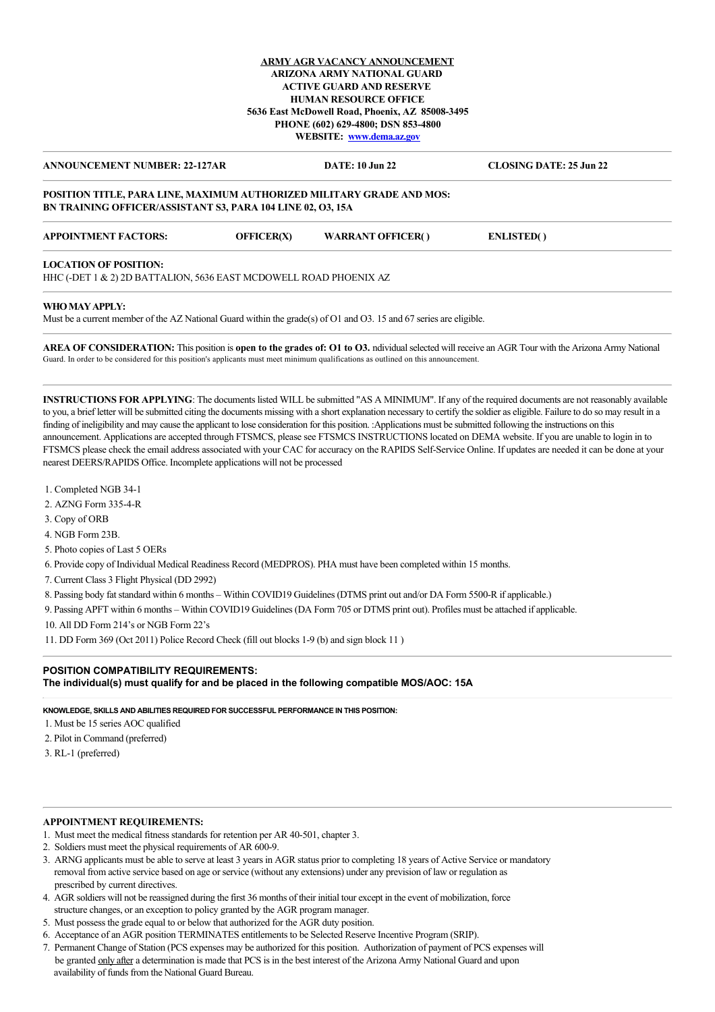## **ARMY AGR VACANCY ANNOUNCEMENT ARIZONA ARMY NATIONAL GUARD ACTIVE GUARD AND RESERVE HUMAN RESOURCE OFFICE 5636 East McDowell Road, Phoenix, AZ 85008-3495 PHONE (602) 629-4800; DSN 853-4800 WEBSITE: [www.dema.az.gov](http://www.dema.az.gov/)**

**ANNOUNCEMENT NUMBER: 22-127AR DATE: 10 Jun 22 CLOSING DATE: 25 Jun 22**

## **POSITION TITLE, PARA LINE, MAXIMUM AUTHORIZED MILITARY GRADE AND MOS: BN TRAINING OFFICER/ASSISTANT S3, PARA 104 LINE 02, O3, 15A**

| <b>APPOINTMENT FACTORS:</b> | <b>OFFICER(X)</b> | <b>WARRANT OFFICER()</b> | <b>ENLISTED()</b> |
|-----------------------------|-------------------|--------------------------|-------------------|
|                             |                   |                          |                   |

## **LOCATION OF POSITION:**

HHC (-DET 1 & 2) 2D BATTALION, 5636 EAST MCDOWELL ROAD PHOENIX AZ

#### **WHO MAY APPLY:**

Must be a current member of the AZ National Guard within the grade(s) of O1 and O3. 15 and 67 series are eligible.

**AREA OF CONSIDERATION:** This position is **open to the grades of: O1 to O3.** ndividual selected will receive an AGR Tour with the Arizona Army National Guard. In order to be considered for this position's applicants must meet minimum qualifications as outlined on this announcement.

**INSTRUCTIONS FOR APPLYING**: The documents listed WILL be submitted "AS A MINIMUM". If any of the required documents are not reasonably available to you, a brief letter will be submitted citing the documents missing with a short explanation necessary to certify the soldier as eligible. Failure to do so may result in a finding of ineligibility and may cause the applicant to lose consideration for this position. :Applications must be submitted following the instructions on this announcement. Applications are accepted through FTSMCS, please see FTSMCS INSTRUCTIONS located on DEMA website. If you are unable to login in to FTSMCS please check the email address associated with your CAC for accuracy on the RAPIDS Self-Service Online. If updates are needed it can be done at your nearest DEERS/RAPIDS Office. Incomplete applications will not be processed

- 1. Completed NGB 34-1
- 2. AZNG Form 335-4-R
- 3. Copy of ORB
- 4. NGB Form 23B.
- 5. Photo copies of Last 5 OERs

6. Provide copy of Individual Medical Readiness Record (MEDPROS). PHA must have been completed within 15 months.

- 7. Current Class 3 Flight Physical (DD 2992)
- 8. Passing body fat standard within 6 months Within COVID19 Guidelines (DTMS print out and/or DA Form 5500-R if applicable.)
- 9. Passing APFT within 6 months Within COVID19 Guidelines (DA Form 705 or DTMS print out). Profiles must be attached if applicable.
- 10. All DD Form 214's or NGB Form 22's
- 11. DD Form 369 (Oct 2011) Police Record Check (fill out blocks 1-9 (b) and sign block 11 )

# **POSITION COMPATIBILITY REQUIREMENTS: The individual(s) must qualify for and be placed in the following compatible MOS/AOC: 15A**

**KNOWLEDGE, SKILLS AND ABILITIES REQUIRED FOR SUCCESSFUL PERFORMANCE IN THIS POSITION:**

- 1. Must be 15 series AOC qualified
- 2. Pilot in Command (preferred)
- 3. RL-1 (preferred)

# **APPOINTMENT REQUIREMENTS:**

- 1. Must meet the medical fitness standards for retention per AR 40-501, chapter 3.
- 2. Soldiers must meet the physical requirements of AR 600-9.
- 3. ARNG applicants must be able to serve at least 3 years in AGR status prior to completing 18 years of Active Service or mandatory removal from active service based on age or service (without any extensions) under any prevision of law or regulation as prescribed by current directives.
- 4. AGR soldiers will not be reassigned during the first 36 months of their initial tour except in the event of mobilization, force structure changes, or an exception to policy granted by the AGR program manager.
- 5. Must possess the grade equal to or below that authorized for the AGR duty position.
- 6. Acceptance of an AGR position TERMINATES entitlements to be Selected Reserve Incentive Program (SRIP).
- 7. Permanent Change of Station (PCS expenses may be authorized for this position. Authorization of payment of PCS expenses will be granted only after a determination is made that PCS is in the best interest of the Arizona Army National Guard and upon availability of funds from the National Guard Bureau.